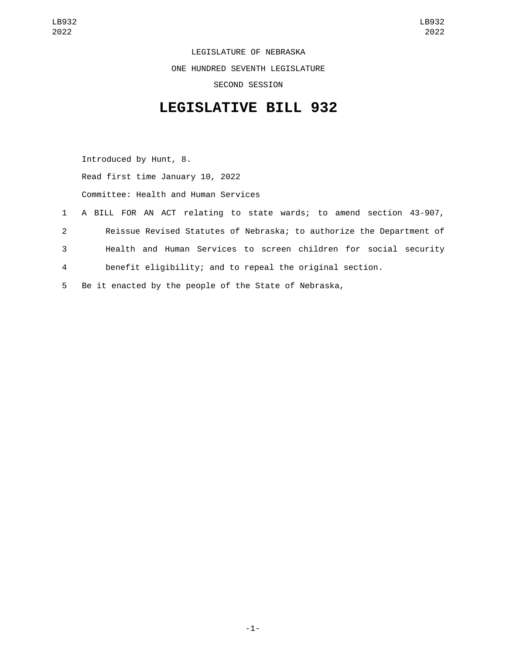LEGISLATURE OF NEBRASKA ONE HUNDRED SEVENTH LEGISLATURE SECOND SESSION

## **LEGISLATIVE BILL 932**

Introduced by Hunt, 8. Read first time January 10, 2022 Committee: Health and Human Services

- 1 A BILL FOR AN ACT relating to state wards; to amend section 43-907, 2 Reissue Revised Statutes of Nebraska; to authorize the Department of 3 Health and Human Services to screen children for social security 4 benefit eligibility; and to repeal the original section.
- 5 Be it enacted by the people of the State of Nebraska,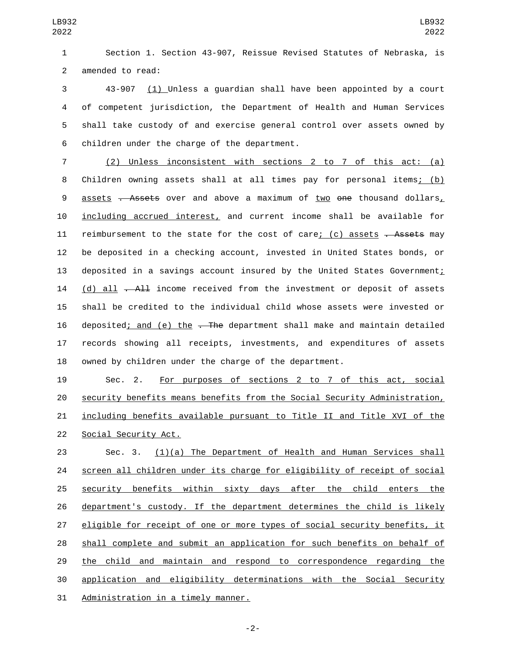Section 1. Section 43-907, Reissue Revised Statutes of Nebraska, is 2 amended to read:

 43-907 (1) Unless a guardian shall have been appointed by a court of competent jurisdiction, the Department of Health and Human Services shall take custody of and exercise general control over assets owned by 6 children under the charge of the department.

 (2) Unless inconsistent with sections 2 to 7 of this act: (a) Children owning assets shall at all times pay for personal items; (b) 9 assets . Assets over and above a maximum of two one thousand dollars, including accrued interest, and current income shall be available for 11 reimbursement to the state for the cost of care; (c) assets . Assets may be deposited in a checking account, invested in United States bonds, or 13 deposited in a savings account insured by the United States Government; 14 (d) all  $-A\pm 1$  income received from the investment or deposit of assets shall be credited to the individual child whose assets were invested or 16 deposited; and (e) the - The department shall make and maintain detailed records showing all receipts, investments, and expenditures of assets owned by children under the charge of the department.

 Sec. 2. For purposes of sections 2 to 7 of this act, social security benefits means benefits from the Social Security Administration, including benefits available pursuant to Title II and Title XVI of the 22 Social Security Act.

 Sec. 3. (1)(a) The Department of Health and Human Services shall screen all children under its charge for eligibility of receipt of social 25 security benefits within sixty days after the child enters the department's custody. If the department determines the child is likely eligible for receipt of one or more types of social security benefits, it shall complete and submit an application for such benefits on behalf of 29 the child and maintain and respond to correspondence regarding the application and eligibility determinations with the Social Security 31 Administration in a timely manner.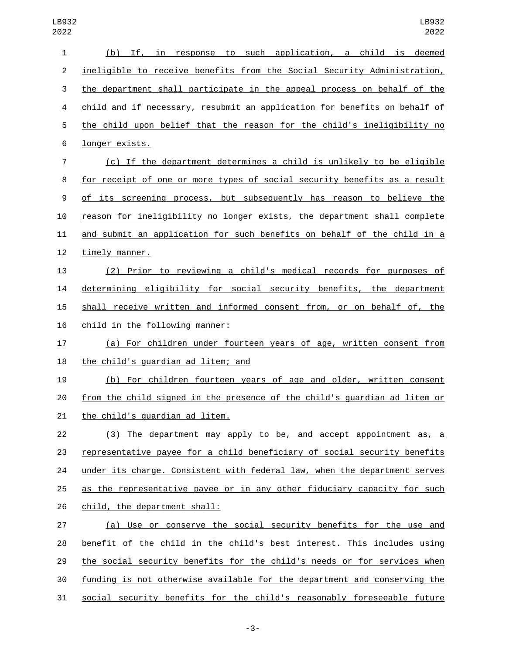| 1              | (b) If, in response to such application, a child is deemed                |
|----------------|---------------------------------------------------------------------------|
| $\overline{c}$ | ineligible to receive benefits from the Social Security Administration,   |
| 3              | the department shall participate in the appeal process on behalf of the   |
| 4              | child and if necessary, resubmit an application for benefits on behalf of |
| 5              | the child upon belief that the reason for the child's ineligibility no    |
| 6              | longer exists.                                                            |
| 7              | (c) If the department determines a child is unlikely to be eligible       |
| 8              | for receipt of one or more types of social security benefits as a result  |
| 9              | of its screening process, but subsequently has reason to believe the      |
| 10             | reason for ineligibility no longer exists, the department shall complete  |
| 11             | and submit an application for such benefits on behalf of the child in a   |
| 12             | timely manner.                                                            |
| 13             | (2) Prior to reviewing a child's medical records for purposes of          |
| 14             | determining eligibility for social security benefits, the department      |
| 15             | shall receive written and informed consent from, or on behalf of, the     |
| 16             | child in the following manner:                                            |
| 17             | (a) For children under fourteen years of age, written consent from        |
| 18             | the child's guardian ad litem; and                                        |
| 19             | (b) For children fourteen years of age and older, written consent         |
| 20             | from the child signed in the presence of the child's guardian ad litem or |
| 21             | the child's guardian ad litem.                                            |
| 22             | (3) The department may apply to be, and accept appointment as, a          |
| 23             | representative payee for a child beneficiary of social security benefits  |
| 24             | under its charge. Consistent with federal law, when the department serves |
| 25             | as the representative payee or in any other fiduciary capacity for such   |
| 26             | child, the department shall:                                              |
| 27             | (a) Use or conserve the social security benefits for the use and          |
| 28             | benefit of the child in the child's best interest. This includes using    |
| 29             | the social security benefits for the child's needs or for services when   |
| 30             | funding is not otherwise available for the department and conserving the  |
| 31             | social security benefits for the child's reasonably foreseeable future    |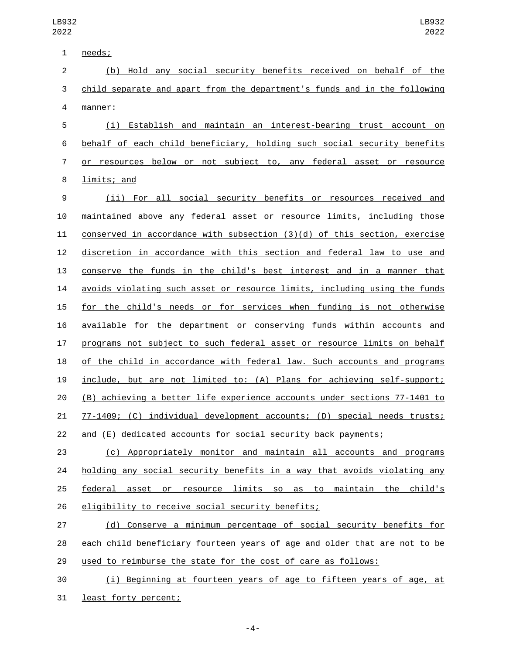1 needs; (b) Hold any social security benefits received on behalf of the child separate and apart from the department's funds and in the following manner:4 (i) Establish and maintain an interest-bearing trust account on behalf of each child beneficiary, holding such social security benefits or resources below or not subject to, any federal asset or resource 8 limits; and (ii) For all social security benefits or resources received and maintained above any federal asset or resource limits, including those conserved in accordance with subsection (3)(d) of this section, exercise

 discretion in accordance with this section and federal law to use and conserve the funds in the child's best interest and in a manner that avoids violating such asset or resource limits, including using the funds for the child's needs or for services when funding is not otherwise available for the department or conserving funds within accounts and programs not subject to such federal asset or resource limits on behalf of the child in accordance with federal law. Such accounts and programs include, but are not limited to: (A) Plans for achieving self-support; (B) achieving a better life experience accounts under sections 77-1401 to 77-1409; (C) individual development accounts; (D) special needs trusts; and (E) dedicated accounts for social security back payments;

 (c) Appropriately monitor and maintain all accounts and programs 24 holding any social security benefits in a way that avoids violating any federal asset or resource limits so as to maintain the child's 26 eligibility to receive social security benefits;

 (d) Conserve a minimum percentage of social security benefits for each child beneficiary fourteen years of age and older that are not to be used to reimburse the state for the cost of care as follows:

 (i) Beginning at fourteen years of age to fifteen years of age, at 31 least forty percent;

-4-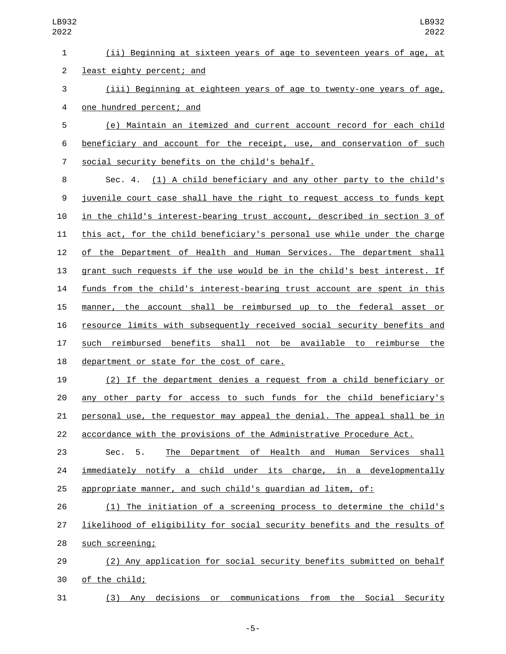(e) Maintain an itemized and current account record for each child beneficiary and account for the receipt, use, and conservation of such social security benefits on the child's behalf.7

 Sec. 4. (1) A child beneficiary and any other party to the child's juvenile court case shall have the right to request access to funds kept in the child's interest-bearing trust account, described in section 3 of this act, for the child beneficiary's personal use while under the charge of the Department of Health and Human Services. The department shall grant such requests if the use would be in the child's best interest. If funds from the child's interest-bearing trust account are spent in this manner, the account shall be reimbursed up to the federal asset or resource limits with subsequently received social security benefits and such reimbursed benefits shall not be available to reimburse the 18 department or state for the cost of care.

 (2) If the department denies a request from a child beneficiary or any other party for access to such funds for the child beneficiary's personal use, the requestor may appeal the denial. The appeal shall be in accordance with the provisions of the Administrative Procedure Act.

 Sec. 5. The Department of Health and Human Services shall immediately notify a child under its charge, in a developmentally appropriate manner, and such child's guardian ad litem, of:

 (1) The initiation of a screening process to determine the child's likelihood of eligibility for social security benefits and the results of 28 such screening;

 (2) Any application for social security benefits submitted on behalf 30 of the child;

(3) Any decisions or communications from the Social Security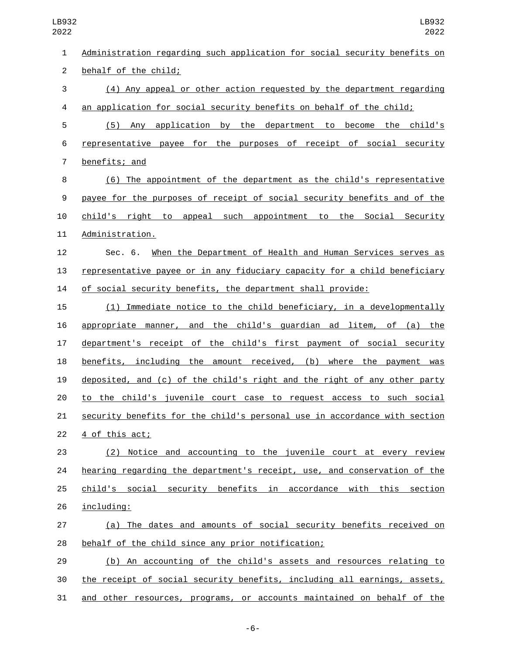| $\mathbf{1}$   | Administration regarding such application for social security benefits on |
|----------------|---------------------------------------------------------------------------|
| $\overline{2}$ | behalf of the child;                                                      |
| 3              | (4) Any appeal or other action requested by the department regarding      |
| 4              | an application for social security benefits on behalf of the child;       |
| 5              | (5) Any application by the department to become the child's               |
| 6              | representative payee for the purposes of receipt of social security       |
| 7              | benefits; and                                                             |
| 8              | (6) The appointment of the department as the child's representative       |
| 9              | payee for the purposes of receipt of social security benefits and of the  |
| 10             | child's right to appeal such appointment to the Social Security           |
| 11             | Administration.                                                           |
| 12             | Sec. 6. When the Department of Health and Human Services serves as        |
| 13             | representative payee or in any fiduciary capacity for a child beneficiary |
| 14             | of social security benefits, the department shall provide:                |
| 15             | (1) Immediate notice to the child beneficiary, in a developmentally       |
| 16             | appropriate manner, and the child's guardian ad litem, of (a) the         |
| 17             | department's receipt of the child's first payment of social security      |
| 18             | benefits, including the amount received, (b) where the payment was        |
| 19             | deposited, and (c) of the child's right and the right of any other party  |
| 20             | to the child's juvenile court case to request access to such social       |
| 21             | security benefits for the child's personal use in accordance with section |
| 22             | 4 of this act;                                                            |
| 23             | (2) Notice and accounting to the juvenile court at every review           |
| 24             | hearing regarding the department's receipt, use, and conservation of the  |
| 25             | child's social security benefits in accordance with this section          |
| 26             | including:                                                                |
| 27             | (a) The dates and amounts of social security benefits received on         |
| 28             | behalf of the child since any prior notification;                         |
| 29             | (b) An accounting of the child's assets and resources relating to         |
| 30             | the receipt of social security benefits, including all earnings, assets,  |
| 31             | and other resources, programs, or accounts maintained on behalf of the    |